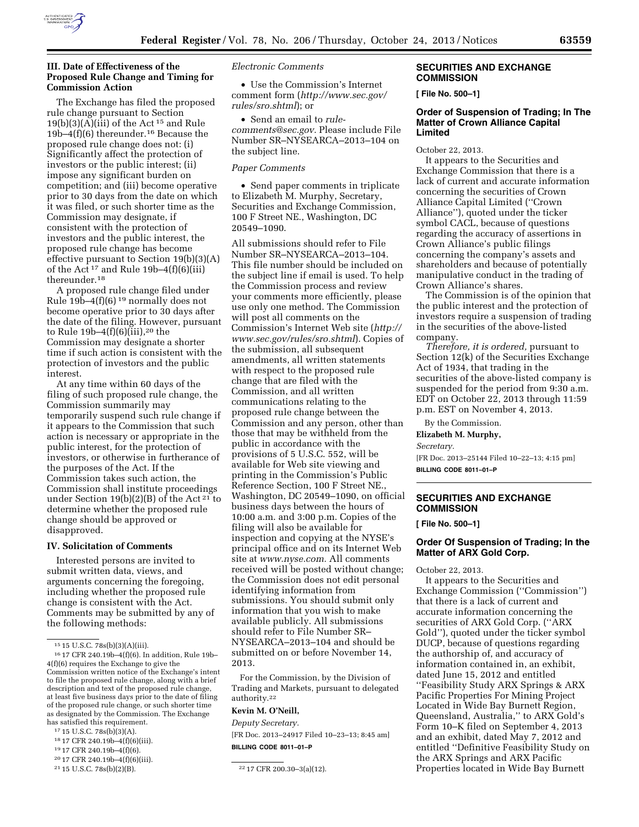

# **III. Date of Effectiveness of the Proposed Rule Change and Timing for Commission Action**

The Exchange has filed the proposed rule change pursuant to Section  $19(b)(3)(A)(iii)$  of the Act<sup>15</sup> and Rule 19b–4(f)(6) thereunder.16 Because the proposed rule change does not: (i) Significantly affect the protection of investors or the public interest; (ii) impose any significant burden on competition; and (iii) become operative prior to 30 days from the date on which it was filed, or such shorter time as the Commission may designate, if consistent with the protection of investors and the public interest, the proposed rule change has become effective pursuant to Section 19(b)(3)(A) of the Act<sup>17</sup> and Rule 19b-4 $(f)(6)(iii)$ thereunder.18

A proposed rule change filed under Rule 19b–4 $(f)(6)^{19}$  normally does not become operative prior to 30 days after the date of the filing. However, pursuant to Rule  $19b-4(f)(6)(iii)$ , <sup>20</sup> the Commission may designate a shorter time if such action is consistent with the protection of investors and the public interest.

At any time within 60 days of the filing of such proposed rule change, the Commission summarily may temporarily suspend such rule change if it appears to the Commission that such action is necessary or appropriate in the public interest, for the protection of investors, or otherwise in furtherance of the purposes of the Act. If the Commission takes such action, the Commission shall institute proceedings under Section 19(b)(2)(B) of the Act<sup>21</sup> to determine whether the proposed rule change should be approved or disapproved.

#### **IV. Solicitation of Comments**

Interested persons are invited to submit written data, views, and arguments concerning the foregoing, including whether the proposed rule change is consistent with the Act. Comments may be submitted by any of the following methods:

- 17 15 U.S.C. 78s(b)(3)(A).
- 18 17 CFR 240.19b–4(f)(6)(iii).
- 19 17 CFR 240.19b–4(f)(6).

*Electronic Comments* 

• Use the Commission's Internet comment form (*[http://www.sec.gov/](http://www.sec.gov/rules/sro.shtml)  [rules/sro.shtml](http://www.sec.gov/rules/sro.shtml)*); or

• Send an email to *[rule](mailto:rule-comments@sec.gov)[comments@sec.gov.](mailto:rule-comments@sec.gov)* Please include File Number SR–NYSEARCA–2013–104 on the subject line.

# *Paper Comments*

• Send paper comments in triplicate to Elizabeth M. Murphy, Secretary, Securities and Exchange Commission, 100 F Street NE., Washington, DC 20549–1090.

All submissions should refer to File Number SR–NYSEARCA–2013–104. This file number should be included on the subject line if email is used. To help the Commission process and review your comments more efficiently, please use only one method. The Commission will post all comments on the Commission's Internet Web site (*[http://](http://www.sec.gov/rules/sro.shtml)  [www.sec.gov/rules/sro.shtml](http://www.sec.gov/rules/sro.shtml)*). Copies of the submission, all subsequent amendments, all written statements with respect to the proposed rule change that are filed with the Commission, and all written communications relating to the proposed rule change between the Commission and any person, other than those that may be withheld from the public in accordance with the provisions of 5 U.S.C. 552, will be available for Web site viewing and printing in the Commission's Public Reference Section, 100 F Street NE., Washington, DC 20549–1090, on official business days between the hours of 10:00 a.m. and 3:00 p.m. Copies of the filing will also be available for inspection and copying at the NYSE's principal office and on its Internet Web site at *[www.nyse.com.](http://www.nyse.com)* All comments received will be posted without change; the Commission does not edit personal identifying information from submissions. You should submit only information that you wish to make available publicly. All submissions should refer to File Number SR– NYSEARCA–2013–104 and should be submitted on or before November 14, 2013.

For the Commission, by the Division of Trading and Markets, pursuant to delegated authority.22

# **Kevin M. O'Neill,**

*Deputy Secretary.*  [FR Doc. 2013–24917 Filed 10–23–13; 8:45 am] **BILLING CODE 8011–01–P** 

# **SECURITIES AND EXCHANGE COMMISSION**

**[ File No. 500–1]** 

# **Order of Suspension of Trading; In The Matter of Crown Alliance Capital Limited**

October 22, 2013.

It appears to the Securities and Exchange Commission that there is a lack of current and accurate information concerning the securities of Crown Alliance Capital Limited (''Crown Alliance''), quoted under the ticker symbol CACL, because of questions regarding the accuracy of assertions in Crown Alliance's public filings concerning the company's assets and shareholders and because of potentially manipulative conduct in the trading of Crown Alliance's shares.

The Commission is of the opinion that the public interest and the protection of investors require a suspension of trading in the securities of the above-listed company.

*Therefore, it is ordered,* pursuant to Section 12(k) of the Securities Exchange Act of 1934, that trading in the securities of the above-listed company is suspended for the period from 9:30 a.m. EDT on October 22, 2013 through 11:59 p.m. EST on November 4, 2013.

By the Commission.

**Elizabeth M. Murphy,** 

*Secretary.* 

[FR Doc. 2013–25144 Filed 10–22–13; 4:15 pm] **BILLING CODE 8011–01–P** 

# **SECURITIES AND EXCHANGE COMMISSION**

**[ File No. 500–1]** 

# **Order Of Suspension of Trading; In the Matter of ARX Gold Corp.**

October 22, 2013.

It appears to the Securities and Exchange Commission (''Commission'') that there is a lack of current and accurate information concerning the securities of ARX Gold Corp. (''ARX Gold''), quoted under the ticker symbol DUCP, because of questions regarding the authorship of, and accuracy of information contained in, an exhibit, dated June 15, 2012 and entitled ''Feasibility Study ARX Springs & ARX Pacific Properties For Mining Project Located in Wide Bay Burnett Region, Queensland, Australia,'' to ARX Gold's Form 10–K filed on September 4, 2013 and an exhibit, dated May 7, 2012 and entitled ''Definitive Feasibility Study on the ARX Springs and ARX Pacific Properties located in Wide Bay Burnett

<sup>15</sup> 15 U.S.C. 78s(b)(3)(A)(iii).

<sup>16</sup> 17 CFR 240.19b–4(f)(6). In addition, Rule 19b– 4(f)(6) requires the Exchange to give the Commission written notice of the Exchange's intent to file the proposed rule change, along with a brief description and text of the proposed rule change, at least five business days prior to the date of filing of the proposed rule change, or such shorter time as designated by the Commission. The Exchange has satisfied this requirement.

<sup>&</sup>lt;sup>20</sup> 17 CFR 240.19b-4(f)(6)(iii).<br><sup>21</sup> 15 U.S.C. 78s(b)(2)(B).

<sup>&</sup>lt;sup>22</sup> 17 CFR 200.30-3(a)(12).